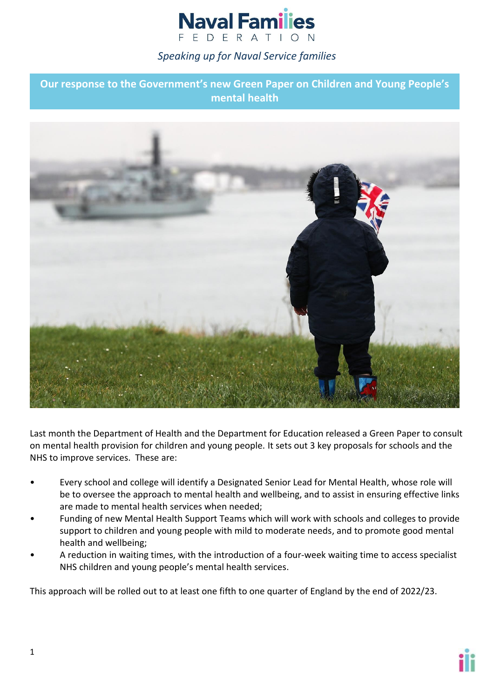# **Naval Families** F F D F R A T I O N

## *Speaking up for Naval Service families*

**Our response to the Government's new Green Paper on Children and Young People's mental health**



Last month the Department of Health and the Department for Education released a Green Paper to consult on mental health provision for children and young people. It sets out 3 key proposals for schools and the NHS to improve services. These are:

- Every school and college will identify a Designated Senior Lead for Mental Health, whose role will be to oversee the approach to mental health and wellbeing, and to assist in ensuring effective links are made to mental health services when needed;
- Funding of new Mental Health Support Teams which will work with schools and colleges to provide support to children and young people with mild to moderate needs, and to promote good mental health and wellbeing;
- A reduction in waiting times, with the introduction of a four-week waiting time to access specialist NHS children and young people's mental health services.

This approach will be rolled out to at least one fifth to one quarter of England by the end of 2022/23.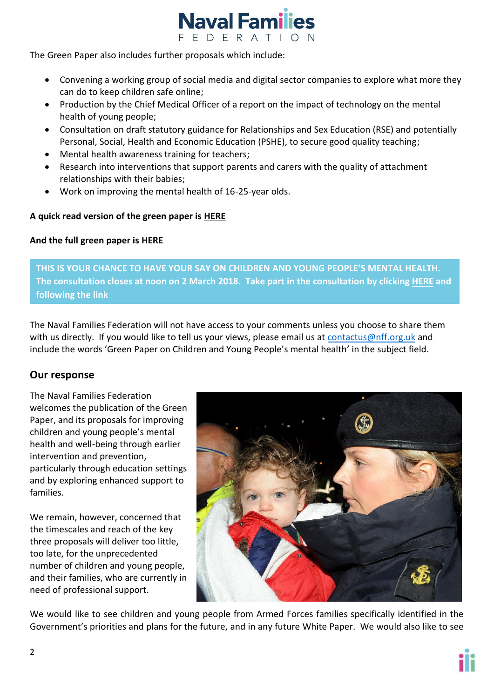

The Green Paper also includes further proposals which include:

- Convening a working group of social media and digital sector companies to explore what more they can do to keep children safe online;
- Production by the Chief Medical Officer of a report on the impact of technology on the mental health of young people;
- Consultation on draft statutory guidance for Relationships and Sex Education (RSE) and potentially Personal, Social, Health and Economic Education (PSHE), to secure good quality teaching;
- Mental health awareness training for teachers;
- Research into interventions that support parents and carers with the quality of attachment relationships with their babies;
- Work on improving the mental health of 16-25-year olds.

### **A quick read version of the green paper is [HERE](https://www.gov.uk/government/consultations/transforming-children-and-young-peoples-mental-health-provision-a-green-paper/quick-read-transforming-children-and-young-peoples-mental-health-provision)**

### **And the full green paper is [HERE](https://www.gov.uk/government/consultations/transforming-children-and-young-peoples-mental-health-provision-a-green-paper)**

**THIS IS YOUR CHANCE TO HAVE YOUR SAY ON CHILDREN AND YOUNG PEOPLE'S MENTAL HEALTH. The consultation closes at noon on 2 March 2018. Take part in the consultation by clicking [HERE](https://engage.dh.gov.uk/youngmentalhealth/) and following the link**

The Naval Families Federation will not have access to your comments unless you choose to share them with us directly. If you would like to tell us your views, please email us at [contactus@nff.org.uk](mailto:contactus@nff.org.uk) and include the words 'Green Paper on Children and Young People's mental health' in the subject field.

## **Our response**

The Naval Families Federation welcomes the publication of the Green Paper, and its proposals for improving children and young people's mental health and well-being through earlier intervention and prevention, particularly through education settings and by exploring enhanced support to families.

We remain, however, concerned that the timescales and reach of the key three proposals will deliver too little, too late, for the unprecedented number of children and young people, and their families, who are currently in need of professional support.



We would like to see children and young people from Armed Forces families specifically identified in the Government's priorities and plans for the future, and in any future White Paper. We would also like to see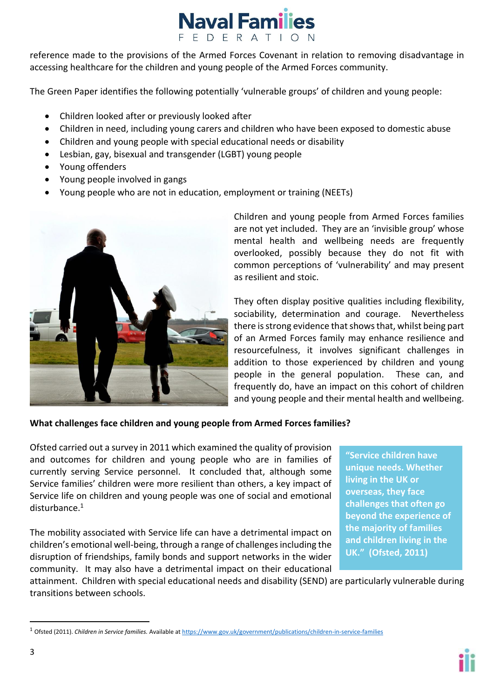

reference made to the provisions of the Armed Forces Covenant in relation to removing disadvantage in accessing healthcare for the children and young people of the Armed Forces community.

The Green Paper identifies the following potentially 'vulnerable groups' of children and young people:

- Children looked after or previously looked after
- Children in need, including young carers and children who have been exposed to domestic abuse
- Children and young people with special educational needs or disability
- Lesbian, gay, bisexual and transgender (LGBT) young people
- Young offenders
- Young people involved in gangs
- Young people who are not in education, employment or training (NEETs)



Children and young people from Armed Forces families are not yet included. They are an 'invisible group' whose mental health and wellbeing needs are frequently overlooked, possibly because they do not fit with common perceptions of 'vulnerability' and may present as resilient and stoic.

They often display positive qualities including flexibility, sociability, determination and courage. Nevertheless there is strong evidence that shows that, whilst being part of an Armed Forces family may enhance resilience and resourcefulness, it involves significant challenges in addition to those experienced by children and young people in the general population. These can, and frequently do, have an impact on this cohort of children and young people and their mental health and wellbeing.

#### **What challenges face children and young people from Armed Forces families?**

Ofsted carried out a survey in 2011 which examined the quality of provision and outcomes for children and young people who are in families of currently serving Service personnel. It concluded that, although some Service families' children were more resilient than others, a key impact of Service life on children and young people was one of social and emotional disturbance.<sup>1</sup>

The mobility associated with Service life can have a detrimental impact on children's emotional well-being, through a range of challenges including the disruption of friendships, family bonds and support networks in the wider community. It may also have a detrimental impact on their educational **"Service children have unique needs. Whether living in the UK or overseas, they face challenges that often go beyond the experience of the majority of families and children living in the UK." (Ofsted, 2011)**

attainment. Children with special educational needs and disability (SEND) are particularly vulnerable during transitions between schools.

1

<sup>1</sup> Ofsted (2011). *Children in Service families.* Available at <https://www.gov.uk/government/publications/children-in-service-families>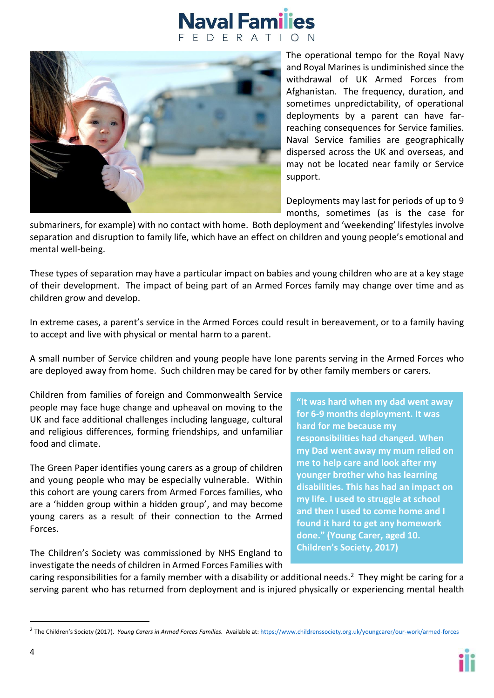## **Naval Families** DFRAT



The operational tempo for the Royal Navy and Royal Marines is undiminished since the withdrawal of UK Armed Forces from Afghanistan. The frequency, duration, and sometimes unpredictability, of operational deployments by a parent can have farreaching consequences for Service families. Naval Service families are geographically dispersed across the UK and overseas, and may not be located near family or Service support.

Deployments may last for periods of up to 9 months, sometimes (as is the case for

submariners, for example) with no contact with home. Both deployment and 'weekending' lifestyles involve separation and disruption to family life, which have an effect on children and young people's emotional and mental well-being.

These types of separation may have a particular impact on babies and young children who are at a key stage of their development. The impact of being part of an Armed Forces family may change over time and as children grow and develop.

In extreme cases, a parent's service in the Armed Forces could result in bereavement, or to a family having to accept and live with physical or mental harm to a parent.

A small number of Service children and young people have lone parents serving in the Armed Forces who are deployed away from home. Such children may be cared for by other family members or carers.

Children from families of foreign and Commonwealth Service people may face huge change and upheaval on moving to the UK and face additional challenges including language, cultural and religious differences, forming friendships, and unfamiliar food and climate.

The Green Paper identifies young carers as a group of children and young people who may be especially vulnerable. Within this cohort are young carers from Armed Forces families, who are a 'hidden group within a hidden group', and may become young carers as a result of their connection to the Armed Forces.

The Children's Society was commissioned by NHS England to investigate the needs of children in Armed Forces Families with **"It was hard when my dad went away for 6-9 months deployment. It was hard for me because my responsibilities had changed. When my Dad went away my mum relied on me to help care and look after my younger brother who has learning disabilities. This has had an impact on my life. I used to struggle at school and then I used to come home and I found it hard to get any homework done." (Young Carer, aged 10. Children's Society, 2017)**

caring responsibilities for a family member with a disability or additional needs.<sup>2</sup> They might be caring for a serving parent who has returned from deployment and is injured physically or experiencing mental health

1

<sup>2</sup> The Children's Society (2017). *Young Carers in Armed Forces Families.* Available at[: https://www.childrenssociety.org.uk/youngcarer/our-work/armed-forces](https://www.childrenssociety.org.uk/youngcarer/our-work/armed-forces)